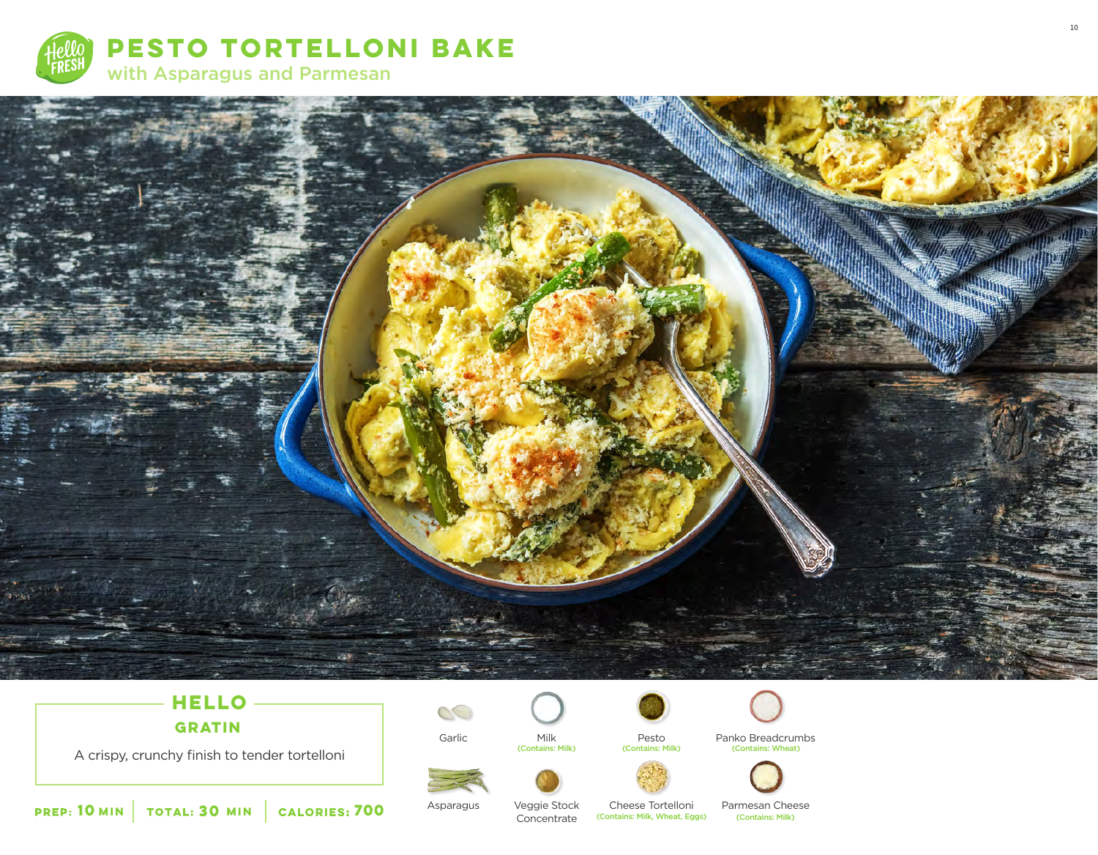



# **HELLO**

**GRATIN**

A crispy, crunchy finish to tender tortelloni



Garlic

Milk<br>(Contains: Milk)



Pesto<br>(Contains: Milk)



Panko Breadcrumbs (Contains: Milk) (Contains: Milk) (Contains: Wheat)







**10** MIN | TOTAL: **30** MIN | CALORIES:

Asparagus

Veggie Stock Concentrate Cheese Tortelloni **(Contains: Milk, Wheat, Eggs)**  Parmesan Cheese<br>(Contains: Milk)

10